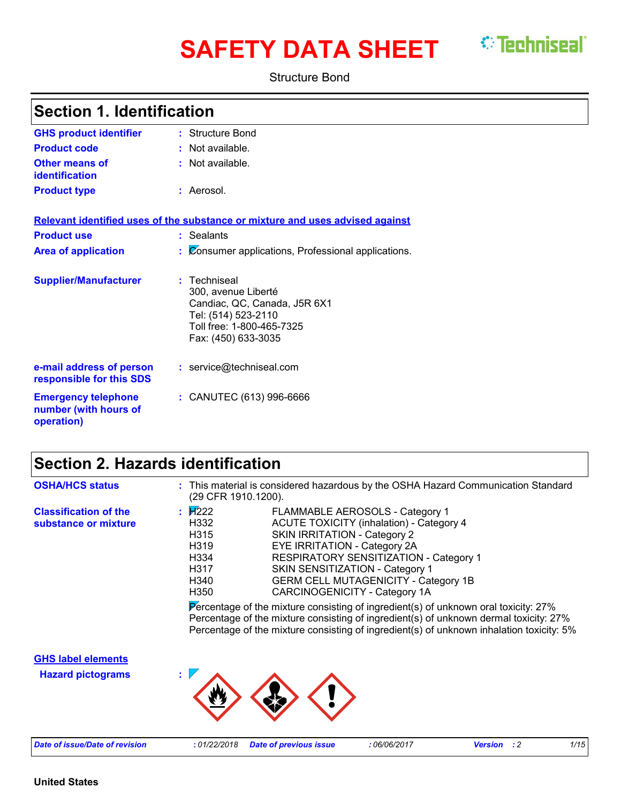# **SAFETY DATA SHEET** *C* Techniseal

Structure Bond

| <b>Section 1. Identification</b>                                  |                                                                                                                                                |  |
|-------------------------------------------------------------------|------------------------------------------------------------------------------------------------------------------------------------------------|--|
| <b>GHS product identifier</b>                                     | : Structure Bond                                                                                                                               |  |
| <b>Product code</b>                                               | : Not available.                                                                                                                               |  |
| <b>Other means of</b><br><b>identification</b>                    | : Not available.                                                                                                                               |  |
| <b>Product type</b>                                               | : Aerosol.                                                                                                                                     |  |
|                                                                   | Relevant identified uses of the substance or mixture and uses advised against                                                                  |  |
| <b>Product use</b>                                                | : Sealants                                                                                                                                     |  |
| <b>Area of application</b>                                        | Consumer applications, Professional applications.                                                                                              |  |
| <b>Supplier/Manufacturer</b>                                      | : Techniseal<br>300, avenue Liberté<br>Candiac, QC, Canada, J5R 6X1<br>Tel: (514) 523-2110<br>Toll free: 1-800-465-7325<br>Fax: (450) 633-3035 |  |
| e-mail address of person<br>responsible for this SDS              | : service@techniseal.com                                                                                                                       |  |
| <b>Emergency telephone</b><br>number (with hours of<br>operation) | : CANUTEC (613) 996-6666                                                                                                                       |  |

# **Section 2. Hazards identification**

| <b>OSHA/HCS status</b>                               | : This material is considered hazardous by the OSHA Hazard Communication Standard<br>(29 CFR 1910.1200).                                                                                                                                                                                                                                                                                    |
|------------------------------------------------------|---------------------------------------------------------------------------------------------------------------------------------------------------------------------------------------------------------------------------------------------------------------------------------------------------------------------------------------------------------------------------------------------|
| <b>Classification of the</b><br>substance or mixture | : $1/222$<br>FLAMMABLE AEROSOLS - Category 1<br>H332<br><b>ACUTE TOXICITY (inhalation) - Category 4</b><br>H315<br><b>SKIN IRRITATION - Category 2</b><br>H319<br>EYE IRRITATION - Category 2A<br>RESPIRATORY SENSITIZATION - Category 1<br>H334<br>H317<br>SKIN SENSITIZATION - Category 1<br><b>GERM CELL MUTAGENICITY - Category 1B</b><br>H340<br>H350<br>CARCINOGENICITY - Category 1A |
|                                                      | Percentage of the mixture consisting of ingredient(s) of unknown oral toxicity: $27\%$<br>Percentage of the mixture consisting of ingredient(s) of unknown dermal toxicity: 27%<br>Percentage of the mixture consisting of ingredient(s) of unknown inhalation toxicity: 5%                                                                                                                 |
| <b>GHS label elements</b>                            |                                                                                                                                                                                                                                                                                                                                                                                             |
| <b>Hazard pictograms</b>                             |                                                                                                                                                                                                                                                                                                                                                                                             |
| <b>Date of issue/Date of revision</b>                | :01/22/2018<br><b>Date of previous issue</b><br>:06/06/2017<br>:2<br>1/15<br><b>Version</b>                                                                                                                                                                                                                                                                                                 |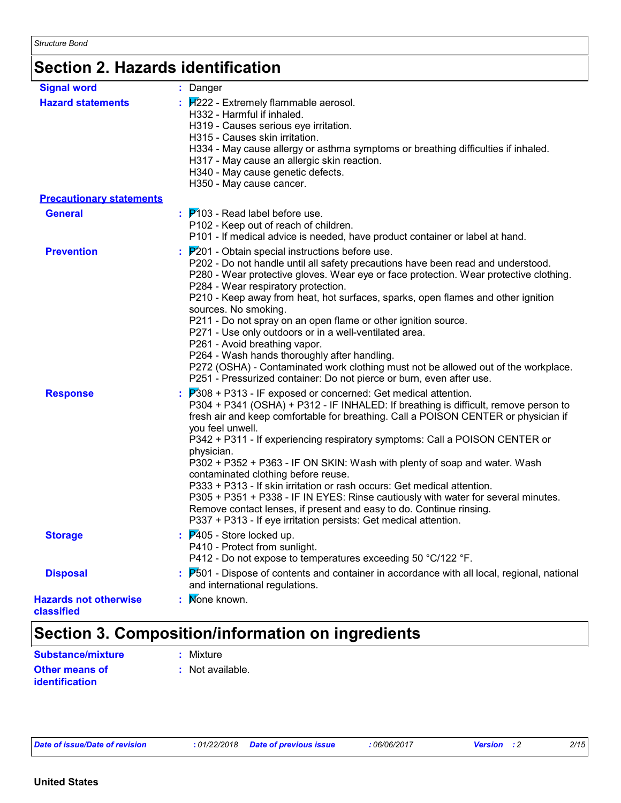# **Section 2. Hazards identification**

| <b>Signal word</b>                         | : Danger                                                                                                                                                                                                                                                                                                                                                                                                                                                                                                                                                                                                                                                                                                                                                                                     |
|--------------------------------------------|----------------------------------------------------------------------------------------------------------------------------------------------------------------------------------------------------------------------------------------------------------------------------------------------------------------------------------------------------------------------------------------------------------------------------------------------------------------------------------------------------------------------------------------------------------------------------------------------------------------------------------------------------------------------------------------------------------------------------------------------------------------------------------------------|
| <b>Hazard statements</b>                   | $\frac{1}{2}$ $\frac{1}{2}$ - Extremely flammable aerosol.<br>H332 - Harmful if inhaled.<br>H319 - Causes serious eye irritation.<br>H315 - Causes skin irritation.<br>H334 - May cause allergy or asthma symptoms or breathing difficulties if inhaled.<br>H317 - May cause an allergic skin reaction.<br>H340 - May cause genetic defects.<br>H350 - May cause cancer.                                                                                                                                                                                                                                                                                                                                                                                                                     |
| <b>Precautionary statements</b>            |                                                                                                                                                                                                                                                                                                                                                                                                                                                                                                                                                                                                                                                                                                                                                                                              |
| <b>General</b>                             | $\frac{1}{2}$ $\mathsf{P}'$ 103 - Read label before use.<br>P102 - Keep out of reach of children.<br>P101 - If medical advice is needed, have product container or label at hand.                                                                                                                                                                                                                                                                                                                                                                                                                                                                                                                                                                                                            |
| <b>Prevention</b>                          | $P201$ - Obtain special instructions before use.<br>P202 - Do not handle until all safety precautions have been read and understood.<br>P280 - Wear protective gloves. Wear eye or face protection. Wear protective clothing.<br>P284 - Wear respiratory protection.<br>P210 - Keep away from heat, hot surfaces, sparks, open flames and other ignition<br>sources. No smoking.<br>P211 - Do not spray on an open flame or other ignition source.<br>P271 - Use only outdoors or in a well-ventilated area.<br>P261 - Avoid breathing vapor.<br>P264 - Wash hands thoroughly after handling.<br>P272 (OSHA) - Contaminated work clothing must not be allowed out of the workplace.<br>P251 - Pressurized container: Do not pierce or burn, even after use.                                  |
| <b>Response</b>                            | $P308 + P313$ - IF exposed or concerned: Get medical attention.<br>P304 + P341 (OSHA) + P312 - IF INHALED: If breathing is difficult, remove person to<br>fresh air and keep comfortable for breathing. Call a POISON CENTER or physician if<br>you feel unwell.<br>P342 + P311 - If experiencing respiratory symptoms: Call a POISON CENTER or<br>physician.<br>P302 + P352 + P363 - IF ON SKIN: Wash with plenty of soap and water. Wash<br>contaminated clothing before reuse.<br>P333 + P313 - If skin irritation or rash occurs: Get medical attention.<br>P305 + P351 + P338 - IF IN EYES: Rinse cautiously with water for several minutes.<br>Remove contact lenses, if present and easy to do. Continue rinsing.<br>P337 + P313 - If eye irritation persists: Get medical attention. |
| <b>Storage</b>                             | $\frac{1}{2}$ $\overline{P}405$ - Store locked up.<br>P410 - Protect from sunlight.<br>P412 - Do not expose to temperatures exceeding 50 °C/122 °F.                                                                                                                                                                                                                                                                                                                                                                                                                                                                                                                                                                                                                                          |
| <b>Disposal</b>                            | $\frac{1}{2}$ $\overline{P}$ 501 - Dispose of contents and container in accordance with all local, regional, national<br>and international regulations.                                                                                                                                                                                                                                                                                                                                                                                                                                                                                                                                                                                                                                      |
| <b>Hazards not otherwise</b><br>classified | Mone known.                                                                                                                                                                                                                                                                                                                                                                                                                                                                                                                                                                                                                                                                                                                                                                                  |

# **Section 3. Composition/information on ingredients**

| <b>Substance/mixture</b> | $:$ Mixture      |
|--------------------------|------------------|
| <b>Other means of</b>    | : Not available. |
| identification           |                  |

| Date of issue/Date of revision |  |  |  |  |  |
|--------------------------------|--|--|--|--|--|
|--------------------------------|--|--|--|--|--|

*Date of issue/Date of revision* **:** *01/22/2018 Date of previous issue : 06/06/2017 Version : 2 2/15*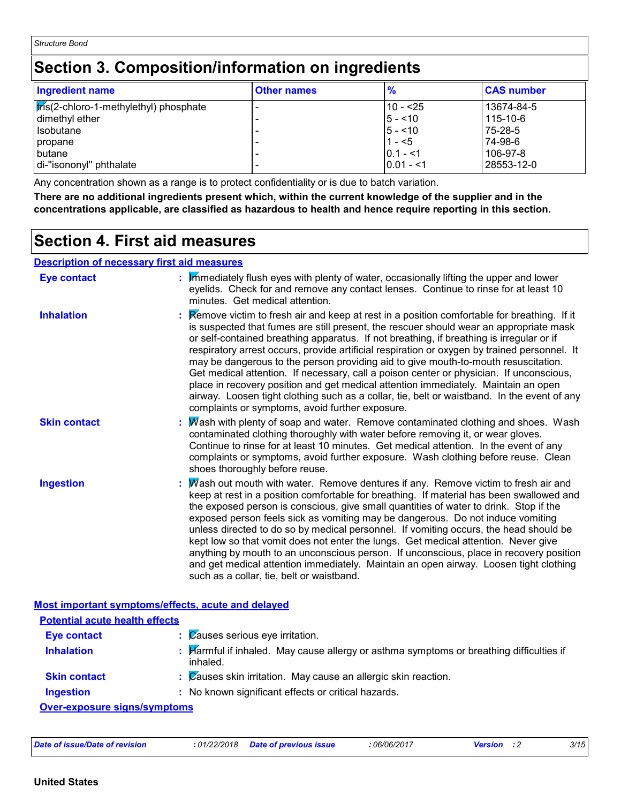# **Section 3. Composition/information on ingredients**

| <b>Ingredient name</b>                 | <b>Other names</b> | $\frac{9}{6}$ | <b>CAS number</b> |
|----------------------------------------|--------------------|---------------|-------------------|
| tris(2-chloro-1-methylethyl) phosphate |                    | 10 - <25      | 13674-84-5        |
| dimethyl ether                         |                    | $5 - 10$      | 115-10-6          |
| Isobutane                              |                    | $5 - 10$      | 75-28-5           |
| <i>copane</i>                          |                    | $1 - 5$       | 74-98-6           |
| <b>butane</b>                          |                    | $10.1 - 51$   | 106-97-8          |
| di-"isononyl" phthalate                |                    | $ 0.01 - 1$   | 28553-12-0        |

Any concentration shown as a range is to protect confidentiality or is due to batch variation.

**There are no additional ingredients present which, within the current knowledge of the supplier and in the concentrations applicable, are classified as hazardous to health and hence require reporting in this section.**

### **Section 4. First aid measures**

#### **Description of necessary first aid measures**

| <b>Eye contact</b>                                 | $\frac{1}{2}$ M mediately flush eyes with plenty of water, occasionally lifting the upper and lower<br>eyelids. Check for and remove any contact lenses. Continue to rinse for at least 10<br>minutes. Get medical attention.                                                                                                                                                                                                                                                                                                                                                                                                                                                                                                                                                                                                |
|----------------------------------------------------|------------------------------------------------------------------------------------------------------------------------------------------------------------------------------------------------------------------------------------------------------------------------------------------------------------------------------------------------------------------------------------------------------------------------------------------------------------------------------------------------------------------------------------------------------------------------------------------------------------------------------------------------------------------------------------------------------------------------------------------------------------------------------------------------------------------------------|
| <b>Inhalation</b>                                  | <b>Example 2</b> : Remove victim to fresh air and keep at rest in a position comfortable for breathing. If it<br>is suspected that fumes are still present, the rescuer should wear an appropriate mask<br>or self-contained breathing apparatus. If not breathing, if breathing is irregular or if<br>respiratory arrest occurs, provide artificial respiration or oxygen by trained personnel. It<br>may be dangerous to the person providing aid to give mouth-to-mouth resuscitation.<br>Get medical attention. If necessary, call a poison center or physician. If unconscious,<br>place in recovery position and get medical attention immediately. Maintain an open<br>airway. Loosen tight clothing such as a collar, tie, belt or waistband. In the event of any<br>complaints or symptoms, avoid further exposure. |
| <b>Skin contact</b>                                | : Mash with plenty of soap and water. Remove contaminated clothing and shoes. Wash<br>contaminated clothing thoroughly with water before removing it, or wear gloves.<br>Continue to rinse for at least 10 minutes. Get medical attention. In the event of any<br>complaints or symptoms, avoid further exposure. Wash clothing before reuse. Clean<br>shoes thoroughly before reuse.                                                                                                                                                                                                                                                                                                                                                                                                                                        |
| <b>Ingestion</b>                                   | : Mash out mouth with water. Remove dentures if any. Remove victim to fresh air and<br>keep at rest in a position comfortable for breathing. If material has been swallowed and<br>the exposed person is conscious, give small quantities of water to drink. Stop if the<br>exposed person feels sick as vomiting may be dangerous. Do not induce vomiting<br>unless directed to do so by medical personnel. If vomiting occurs, the head should be<br>kept low so that vomit does not enter the lungs. Get medical attention. Never give<br>anything by mouth to an unconscious person. If unconscious, place in recovery position<br>and get medical attention immediately. Maintain an open airway. Loosen tight clothing<br>such as a collar, tie, belt or waistband.                                                    |
| Most important symptoms/effects, acute and delayed |                                                                                                                                                                                                                                                                                                                                                                                                                                                                                                                                                                                                                                                                                                                                                                                                                              |
| <b>Potential acute health effects</b>              |                                                                                                                                                                                                                                                                                                                                                                                                                                                                                                                                                                                                                                                                                                                                                                                                                              |
| <b>Eye contact</b>                                 | : Causes serious eye irritation.                                                                                                                                                                                                                                                                                                                                                                                                                                                                                                                                                                                                                                                                                                                                                                                             |
| <b>Inhalation</b>                                  | : Harmful if inhaled. May cause allergy or asthma symptoms or breathing difficulties if<br>inhaled.                                                                                                                                                                                                                                                                                                                                                                                                                                                                                                                                                                                                                                                                                                                          |
| <b>Skin contact</b>                                | $\therefore$ Zauses skin irritation. May cause an allergic skin reaction.                                                                                                                                                                                                                                                                                                                                                                                                                                                                                                                                                                                                                                                                                                                                                    |
| <b>Ingestion</b>                                   | : No known significant effects or critical hazards.                                                                                                                                                                                                                                                                                                                                                                                                                                                                                                                                                                                                                                                                                                                                                                          |

**Over-exposure signs/symptoms**

| Date of issue/Date of revision | : 01/22/2018 Date of previous issue | : 06/06/2017 | <b>Version</b> | 3/15 |
|--------------------------------|-------------------------------------|--------------|----------------|------|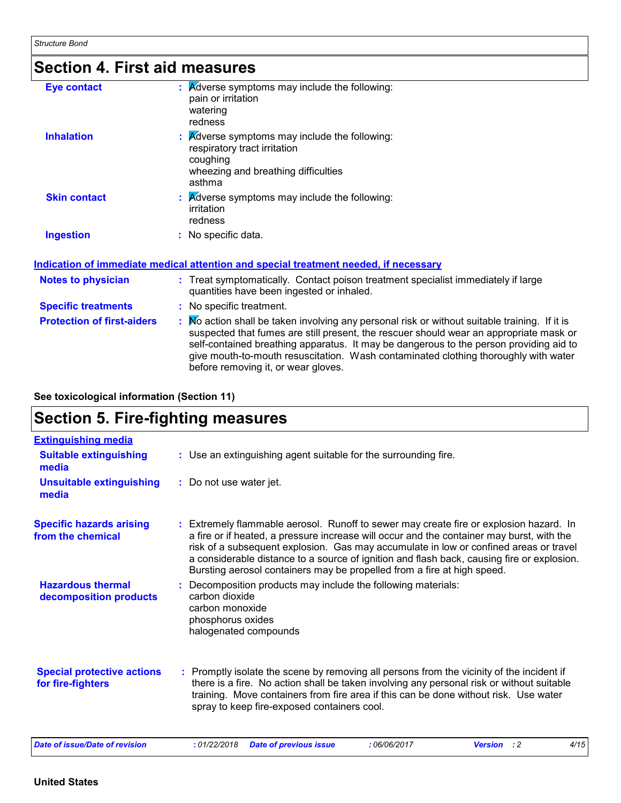# **Section 4. First aid measures**

| <b>Eye contact</b>  | <b>A</b> dverse symptoms may include the following:<br>t.<br>pain or irritation<br>watering<br>redness                                                        |
|---------------------|---------------------------------------------------------------------------------------------------------------------------------------------------------------|
| <b>Inhalation</b>   | $\mathbf{R}$ <i>K</i> dverse symptoms may include the following:<br>respiratory tract irritation<br>coughing<br>wheezing and breathing difficulties<br>asthma |
| <b>Skin contact</b> | $\therefore$ Adverse symptoms may include the following:<br>irritation<br>redness                                                                             |
| <b>Ingestion</b>    | No specific data.                                                                                                                                             |

#### **Indication of immediate medical attention and special treatment needed, if necessary**

| <b>Notes to physician</b>         | : Treat symptomatically. Contact poison treatment specialist immediately if large<br>quantities have been ingested or inhaled.                                                                                                                                                                                                                                                                                |
|-----------------------------------|---------------------------------------------------------------------------------------------------------------------------------------------------------------------------------------------------------------------------------------------------------------------------------------------------------------------------------------------------------------------------------------------------------------|
| <b>Specific treatments</b>        | : No specific treatment.                                                                                                                                                                                                                                                                                                                                                                                      |
| <b>Protection of first-aiders</b> | Mo action shall be taken involving any personal risk or without suitable training. If it is<br>suspected that fumes are still present, the rescuer should wear an appropriate mask or<br>self-contained breathing apparatus. It may be dangerous to the person providing aid to<br>give mouth-to-mouth resuscitation. Wash contaminated clothing thoroughly with water<br>before removing it, or wear gloves. |

**See toxicological information (Section 11)**

## **Section 5. Fire-fighting measures**

| <b>Extinguishing media</b>                             |                                                                                                                                                                                                                                                                                                                                                                                                                                                       |
|--------------------------------------------------------|-------------------------------------------------------------------------------------------------------------------------------------------------------------------------------------------------------------------------------------------------------------------------------------------------------------------------------------------------------------------------------------------------------------------------------------------------------|
| <b>Suitable extinguishing</b><br>media                 | : Use an extinguishing agent suitable for the surrounding fire.                                                                                                                                                                                                                                                                                                                                                                                       |
| <b>Unsuitable extinguishing</b><br>media               | : Do not use water jet.                                                                                                                                                                                                                                                                                                                                                                                                                               |
| <b>Specific hazards arising</b><br>from the chemical   | : Extremely flammable aerosol. Runoff to sewer may create fire or explosion hazard. In<br>a fire or if heated, a pressure increase will occur and the container may burst, with the<br>risk of a subsequent explosion. Gas may accumulate in low or confined areas or travel<br>a considerable distance to a source of ignition and flash back, causing fire or explosion.<br>Bursting aerosol containers may be propelled from a fire at high speed. |
| <b>Hazardous thermal</b><br>decomposition products     | : Decomposition products may include the following materials:<br>carbon dioxide<br>carbon monoxide<br>phosphorus oxides<br>halogenated compounds                                                                                                                                                                                                                                                                                                      |
| <b>Special protective actions</b><br>for fire-fighters | : Promptly isolate the scene by removing all persons from the vicinity of the incident if<br>there is a fire. No action shall be taken involving any personal risk or without suitable<br>training. Move containers from fire area if this can be done without risk. Use water<br>spray to keep fire-exposed containers cool.                                                                                                                         |
| <b>Date of issue/Date of revision</b>                  | 4/15<br>:01/22/2018<br><b>Version</b> : 2<br><b>Date of previous issue</b><br>:06/06/2017                                                                                                                                                                                                                                                                                                                                                             |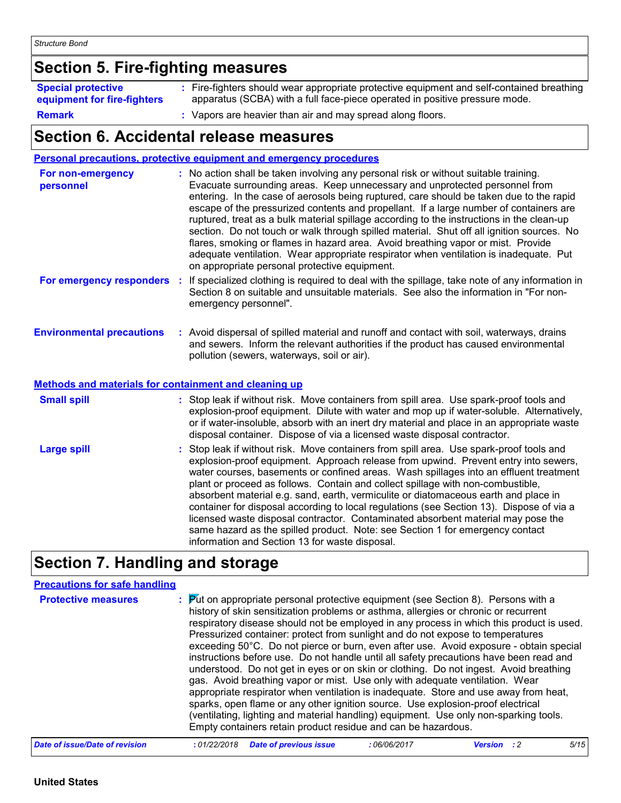# **Section 5. Fire-fighting measures**

| <b>Special protective</b>   | : Fire-fighters should wear appropriate protective equipment and self-contained breathing |
|-----------------------------|-------------------------------------------------------------------------------------------|
| equipment for fire-fighters | apparatus (SCBA) with a full face-piece operated in positive pressure mode.               |
| <b>Remark</b>               | Vapors are heavier than air and may spread along floors.                                  |

### **Section 6. Accidental release measures**

|                                                                                                  | Personal precautions, protective equipment and emergency procedures                                                                                                                                                                                                                                                                                                                                                                                                                                                                                                                                                                                                                                                                                                              |
|--------------------------------------------------------------------------------------------------|----------------------------------------------------------------------------------------------------------------------------------------------------------------------------------------------------------------------------------------------------------------------------------------------------------------------------------------------------------------------------------------------------------------------------------------------------------------------------------------------------------------------------------------------------------------------------------------------------------------------------------------------------------------------------------------------------------------------------------------------------------------------------------|
| For non-emergency<br>personnel                                                                   | : No action shall be taken involving any personal risk or without suitable training.<br>Evacuate surrounding areas. Keep unnecessary and unprotected personnel from<br>entering. In the case of aerosols being ruptured, care should be taken due to the rapid<br>escape of the pressurized contents and propellant. If a large number of containers are<br>ruptured, treat as a bulk material spillage according to the instructions in the clean-up<br>section. Do not touch or walk through spilled material. Shut off all ignition sources. No<br>flares, smoking or flames in hazard area. Avoid breathing vapor or mist. Provide<br>adequate ventilation. Wear appropriate respirator when ventilation is inadequate. Put<br>on appropriate personal protective equipment. |
| For emergency responders                                                                         | : If specialized clothing is required to deal with the spillage, take note of any information in<br>Section 8 on suitable and unsuitable materials. See also the information in "For non-<br>emergency personnel".                                                                                                                                                                                                                                                                                                                                                                                                                                                                                                                                                               |
| <b>Environmental precautions</b><br><b>Methods and materials for containment and cleaning up</b> | : Avoid dispersal of spilled material and runoff and contact with soil, waterways, drains<br>and sewers. Inform the relevant authorities if the product has caused environmental<br>pollution (sewers, waterways, soil or air).                                                                                                                                                                                                                                                                                                                                                                                                                                                                                                                                                  |
|                                                                                                  |                                                                                                                                                                                                                                                                                                                                                                                                                                                                                                                                                                                                                                                                                                                                                                                  |
| <b>Small spill</b>                                                                               | : Stop leak if without risk. Move containers from spill area. Use spark-proof tools and<br>explosion-proof equipment. Dilute with water and mop up if water-soluble. Alternatively,<br>or if water-insoluble, absorb with an inert dry material and place in an appropriate waste<br>disposal container. Dispose of via a licensed waste disposal contractor.                                                                                                                                                                                                                                                                                                                                                                                                                    |
| <b>Large spill</b>                                                                               | : Stop leak if without risk. Move containers from spill area. Use spark-proof tools and<br>explosion-proof equipment. Approach release from upwind. Prevent entry into sewers,<br>water courses, basements or confined areas. Wash spillages into an effluent treatment<br>plant or proceed as follows. Contain and collect spillage with non-combustible,<br>absorbent material e.g. sand, earth, vermiculite or diatomaceous earth and place in<br>container for disposal according to local regulations (see Section 13). Dispose of via a<br>licensed waste disposal contractor. Contaminated absorbent material may pose the<br>same hazard as the spilled product. Note: see Section 1 for emergency contact<br>information and Section 13 for waste disposal.             |

# **Section 7. Handling and storage**

| <b>Precautions for safe handling</b> |             |                                                                                                                                                                                                                                                                                                                                                                                                                                                                                                                                                                                                                                                                                                                                                                                                                                                                                                                                                                                                                                                           |             |                    |      |
|--------------------------------------|-------------|-----------------------------------------------------------------------------------------------------------------------------------------------------------------------------------------------------------------------------------------------------------------------------------------------------------------------------------------------------------------------------------------------------------------------------------------------------------------------------------------------------------------------------------------------------------------------------------------------------------------------------------------------------------------------------------------------------------------------------------------------------------------------------------------------------------------------------------------------------------------------------------------------------------------------------------------------------------------------------------------------------------------------------------------------------------|-------------|--------------------|------|
| <b>Protective measures</b>           |             | : Put on appropriate personal protective equipment (see Section 8). Persons with a<br>history of skin sensitization problems or asthma, allergies or chronic or recurrent<br>respiratory disease should not be employed in any process in which this product is used.<br>Pressurized container: protect from sunlight and do not expose to temperatures<br>exceeding 50°C. Do not pierce or burn, even after use. Avoid exposure - obtain special<br>instructions before use. Do not handle until all safety precautions have been read and<br>understood. Do not get in eyes or on skin or clothing. Do not ingest. Avoid breathing<br>gas. Avoid breathing vapor or mist. Use only with adequate ventilation. Wear<br>appropriate respirator when ventilation is inadequate. Store and use away from heat,<br>sparks, open flame or any other ignition source. Use explosion-proof electrical<br>(ventilating, lighting and material handling) equipment. Use only non-sparking tools.<br>Empty containers retain product residue and can be hazardous. |             |                    |      |
| Date of issue/Date of revision       | :01/22/2018 | <b>Date of previous issue</b>                                                                                                                                                                                                                                                                                                                                                                                                                                                                                                                                                                                                                                                                                                                                                                                                                                                                                                                                                                                                                             | :06/06/2017 | <b>Version</b> : 2 | 5/15 |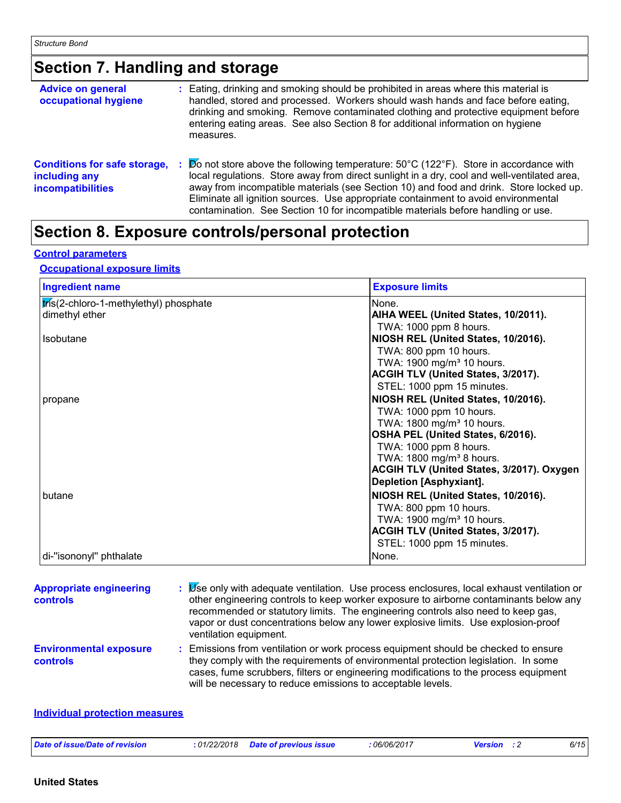# **Section 7. Handling and storage**

| <b>Advice on general</b><br>occupational hygiene                                 | : Eating, drinking and smoking should be prohibited in areas where this material is<br>handled, stored and processed. Workers should wash hands and face before eating,<br>drinking and smoking. Remove contaminated clothing and protective equipment before<br>entering eating areas. See also Section 8 for additional information on hygiene<br>measures.                                                                                                     |
|----------------------------------------------------------------------------------|-------------------------------------------------------------------------------------------------------------------------------------------------------------------------------------------------------------------------------------------------------------------------------------------------------------------------------------------------------------------------------------------------------------------------------------------------------------------|
| <b>Conditions for safe storage,</b><br>including any<br><b>incompatibilities</b> | $\cancel{p}$ not store above the following temperature: 50°C (122°F). Store in accordance with<br>local regulations. Store away from direct sunlight in a dry, cool and well-ventilated area,<br>away from incompatible materials (see Section 10) and food and drink. Store locked up.<br>Eliminate all ignition sources. Use appropriate containment to avoid environmental<br>contamination. See Section 10 for incompatible materials before handling or use. |

# **Section 8. Exposure controls/personal protection**

#### **Control parameters**

#### **Occupational exposure limits**

| <b>Ingredient name</b>                 | <b>Exposure limits</b>                                         |
|----------------------------------------|----------------------------------------------------------------|
| tris(2-chloro-1-methylethyl) phosphate | None.                                                          |
| dimethyl ether                         | AIHA WEEL (United States, 10/2011).                            |
|                                        | TWA: 1000 ppm 8 hours.                                         |
| <b>Isobutane</b>                       | NIOSH REL (United States, 10/2016).                            |
|                                        | TWA: 800 ppm 10 hours.                                         |
|                                        | TWA: 1900 mg/m <sup>3</sup> 10 hours.                          |
|                                        | ACGIH TLV (United States, 3/2017).                             |
|                                        | STEL: 1000 ppm 15 minutes.                                     |
| propane                                | NIOSH REL (United States, 10/2016).                            |
|                                        | TWA: 1000 ppm 10 hours.                                        |
|                                        | TWA: 1800 mg/m <sup>3</sup> 10 hours.                          |
|                                        | OSHA PEL (United States, 6/2016).                              |
|                                        | TWA: 1000 ppm 8 hours.<br>TWA: 1800 mg/m <sup>3</sup> 8 hours. |
|                                        | <b>ACGIH TLV (United States, 3/2017). Oxygen</b>               |
|                                        | Depletion [Asphyxiant].                                        |
| butane                                 | NIOSH REL (United States, 10/2016).                            |
|                                        | TWA: 800 ppm 10 hours.                                         |
|                                        | TWA: 1900 mg/m <sup>3</sup> 10 hours.                          |
|                                        | <b>ACGIH TLV (United States, 3/2017).</b>                      |
|                                        | STEL: 1000 ppm 15 minutes.                                     |
| di-"isononyl" phthalate                | None.                                                          |

| <b>Appropriate engineering</b><br><b>controls</b> | Let only with adequate ventilation. Use process enclosures, local exhaust ventilation or<br>other engineering controls to keep worker exposure to airborne contaminants below any<br>recommended or statutory limits. The engineering controls also need to keep gas,<br>vapor or dust concentrations below any lower explosive limits. Use explosion-proof<br>ventilation equipment. |
|---------------------------------------------------|---------------------------------------------------------------------------------------------------------------------------------------------------------------------------------------------------------------------------------------------------------------------------------------------------------------------------------------------------------------------------------------|
| <b>Environmental exposure</b><br><b>controls</b>  | : Emissions from ventilation or work process equipment should be checked to ensure<br>they comply with the requirements of environmental protection legislation. In some<br>cases, fume scrubbers, filters or engineering modifications to the process equipment<br>will be necessary to reduce emissions to acceptable levels.                                                       |
| <b>Individual protection measures</b>             |                                                                                                                                                                                                                                                                                                                                                                                       |

| 6/15<br>Date of issue/Date of revision<br>,06/06/2017<br>: 01/22/2018<br><b>Date of previous issue</b><br>Version |
|-------------------------------------------------------------------------------------------------------------------|
|-------------------------------------------------------------------------------------------------------------------|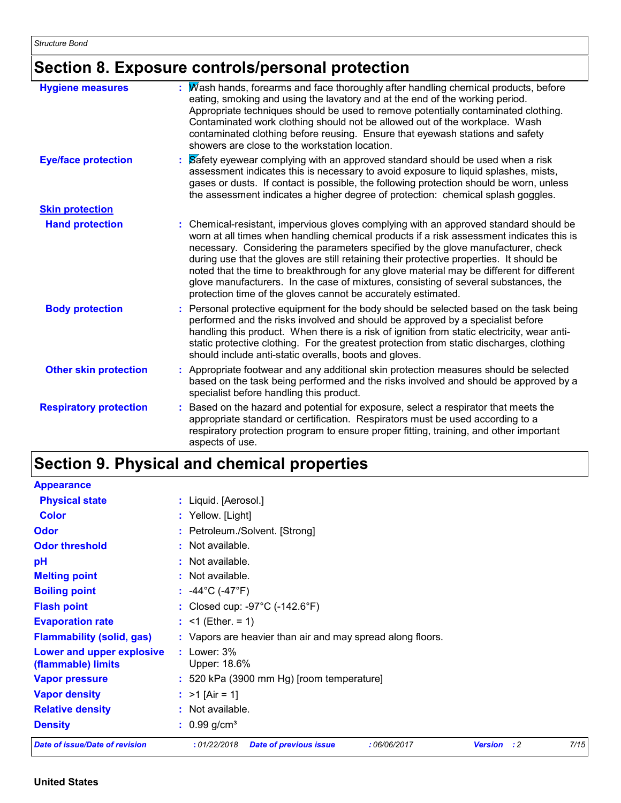# **Section 8. Exposure controls/personal protection**

| <b>Hygiene measures</b>       | Wash hands, forearms and face thoroughly after handling chemical products, before<br>eating, smoking and using the lavatory and at the end of the working period.<br>Appropriate techniques should be used to remove potentially contaminated clothing.<br>Contaminated work clothing should not be allowed out of the workplace. Wash<br>contaminated clothing before reusing. Ensure that eyewash stations and safety<br>showers are close to the workstation location.                                                                                                                                              |
|-------------------------------|------------------------------------------------------------------------------------------------------------------------------------------------------------------------------------------------------------------------------------------------------------------------------------------------------------------------------------------------------------------------------------------------------------------------------------------------------------------------------------------------------------------------------------------------------------------------------------------------------------------------|
| <b>Eye/face protection</b>    | Safety eyewear complying with an approved standard should be used when a risk<br>assessment indicates this is necessary to avoid exposure to liquid splashes, mists,<br>gases or dusts. If contact is possible, the following protection should be worn, unless<br>the assessment indicates a higher degree of protection: chemical splash goggles.                                                                                                                                                                                                                                                                    |
| <b>Skin protection</b>        |                                                                                                                                                                                                                                                                                                                                                                                                                                                                                                                                                                                                                        |
| <b>Hand protection</b>        | : Chemical-resistant, impervious gloves complying with an approved standard should be<br>worn at all times when handling chemical products if a risk assessment indicates this is<br>necessary. Considering the parameters specified by the glove manufacturer, check<br>during use that the gloves are still retaining their protective properties. It should be<br>noted that the time to breakthrough for any glove material may be different for different<br>glove manufacturers. In the case of mixtures, consisting of several substances, the<br>protection time of the gloves cannot be accurately estimated. |
| <b>Body protection</b>        | : Personal protective equipment for the body should be selected based on the task being<br>performed and the risks involved and should be approved by a specialist before<br>handling this product. When there is a risk of ignition from static electricity, wear anti-<br>static protective clothing. For the greatest protection from static discharges, clothing<br>should include anti-static overalls, boots and gloves.                                                                                                                                                                                         |
| <b>Other skin protection</b>  | : Appropriate footwear and any additional skin protection measures should be selected<br>based on the task being performed and the risks involved and should be approved by a<br>specialist before handling this product.                                                                                                                                                                                                                                                                                                                                                                                              |
| <b>Respiratory protection</b> | : Based on the hazard and potential for exposure, select a respirator that meets the<br>appropriate standard or certification. Respirators must be used according to a<br>respiratory protection program to ensure proper fitting, training, and other important<br>aspects of use.                                                                                                                                                                                                                                                                                                                                    |

# **Section 9. Physical and chemical properties**

| <b>Appearance</b>                               |                                                                                           |
|-------------------------------------------------|-------------------------------------------------------------------------------------------|
| <b>Physical state</b>                           | : Liquid. [Aerosol.]                                                                      |
| <b>Color</b>                                    | : Yellow. [Light]                                                                         |
| Odor                                            | : Petroleum./Solvent. [Strong]                                                            |
| <b>Odor threshold</b>                           | $:$ Not available.                                                                        |
| pH                                              | : Not available.                                                                          |
| <b>Melting point</b>                            | $:$ Not available.                                                                        |
| <b>Boiling point</b>                            | : $-44^{\circ}$ C ( $-47^{\circ}$ F)                                                      |
| <b>Flash point</b>                              | : Closed cup: -97°C (-142.6°F)                                                            |
| <b>Evaporation rate</b>                         | : <1 (Ether. = 1)                                                                         |
| <b>Flammability (solid, gas)</b>                | : Vapors are heavier than air and may spread along floors.                                |
| Lower and upper explosive<br>(flammable) limits | $:$ Lower: $3\%$<br>Upper: 18.6%                                                          |
| <b>Vapor pressure</b>                           | : 520 kPa (3900 mm Hg) [room temperature]                                                 |
| <b>Vapor density</b>                            | : $>1$ [Air = 1]                                                                          |
| <b>Relative density</b>                         | : Not available.                                                                          |
| <b>Density</b>                                  | $: 0.99$ g/cm <sup>3</sup>                                                                |
| Date of issue/Date of revision                  | 7/15<br>:01/22/2018<br><b>Date of previous issue</b><br>:06/06/2017<br><b>Version</b> : 2 |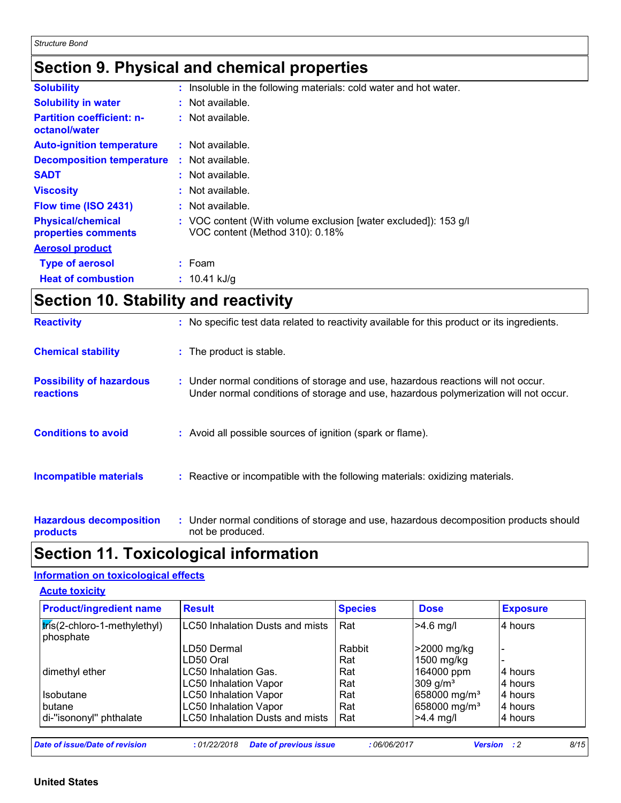### **Section 9. Physical and chemical properties**

| <b>Solubility</b>                                 | : Insoluble in the following materials: cold water and hot water.                                  |
|---------------------------------------------------|----------------------------------------------------------------------------------------------------|
| <b>Solubility in water</b>                        | $:$ Not available.                                                                                 |
| <b>Partition coefficient: n-</b><br>octanol/water | $:$ Not available.                                                                                 |
| <b>Auto-ignition temperature</b>                  | : Not available.                                                                                   |
| <b>Decomposition temperature</b>                  | $:$ Not available.                                                                                 |
| <b>SADT</b>                                       | : Not available.                                                                                   |
| <b>Viscosity</b>                                  | $:$ Not available.                                                                                 |
| Flow time (ISO 2431)                              | $:$ Not available.                                                                                 |
| <b>Physical/chemical</b><br>properties comments   | : VOC content (With volume exclusion [water excluded]): 153 g/l<br>VOC content (Method 310): 0.18% |
| <b>Aerosol product</b>                            |                                                                                                    |
| <b>Type of aerosol</b>                            | $:$ Foam                                                                                           |
| <b>Heat of combustion</b>                         | $: 10.41$ kJ/g                                                                                     |

# **Section 10. Stability and reactivity**

| <b>Reactivity</b>                            | : No specific test data related to reactivity available for this product or its ingredients.                                                                              |
|----------------------------------------------|---------------------------------------------------------------------------------------------------------------------------------------------------------------------------|
| <b>Chemical stability</b>                    | : The product is stable.                                                                                                                                                  |
| <b>Possibility of hazardous</b><br>reactions | : Under normal conditions of storage and use, hazardous reactions will not occur.<br>Under normal conditions of storage and use, hazardous polymerization will not occur. |
| <b>Conditions to avoid</b>                   | : Avoid all possible sources of ignition (spark or flame).                                                                                                                |
| <b>Incompatible materials</b>                | : Reactive or incompatible with the following materials: oxidizing materials.                                                                                             |
| <b>Hazardous decomposition</b><br>products   | : Under normal conditions of storage and use, hazardous decomposition products should<br>not be produced.                                                                 |

### **Section 11. Toxicological information**

#### **Information on toxicological effects**

**Acute toxicity**

| <b>Product/ingredient name</b>            | <b>Result</b>                   | <b>Species</b> | <b>Dose</b>              | <b>Exposure</b> |
|-------------------------------------------|---------------------------------|----------------|--------------------------|-----------------|
| tris(2-chloro-1-methylethyl)<br>phosphate | LC50 Inhalation Dusts and mists | Rat            | $>4.6$ mg/l              | 4 hours         |
|                                           | LD50 Dermal                     | Rabbit         | >2000 mg/kg              |                 |
|                                           | LD50 Oral                       | Rat            | 1500 mg/kg               |                 |
| dimethyl ether                            | <b>LC50 Inhalation Gas.</b>     | Rat            | 164000 ppm               | 4 hours         |
|                                           | <b>LC50 Inhalation Vapor</b>    | Rat            | 309 $g/m3$               | 4 hours         |
| <b>Isobutane</b>                          | <b>LC50 Inhalation Vapor</b>    | Rat            | 658000 mg/m <sup>3</sup> | 4 hours         |
| butane                                    | <b>LC50 Inhalation Vapor</b>    | Rat            | 658000 mg/m <sup>3</sup> | 4 hours         |
| di-"isononyl" phthalate                   | LC50 Inhalation Dusts and mists | Rat            | $>4.4$ mg/l              | 4 hours         |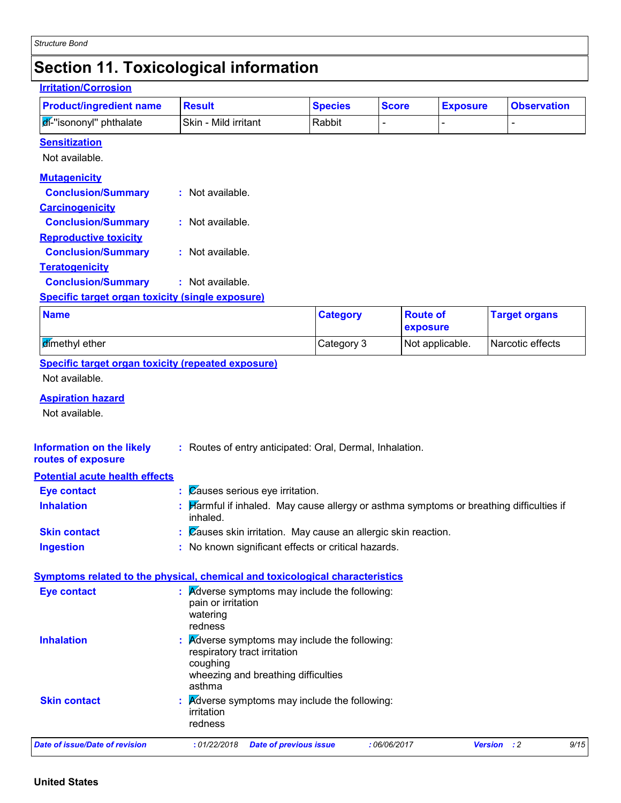### **Section 11. Toxicological information**

| <b>Product/ingredient name</b>                                                                  | <b>Result</b>                                                                                       | <b>Species</b>  | <b>Score</b>                | <b>Exposure</b> |                      | <b>Observation</b> |
|-------------------------------------------------------------------------------------------------|-----------------------------------------------------------------------------------------------------|-----------------|-----------------------------|-----------------|----------------------|--------------------|
| di-"isononyl" phthalate                                                                         | Skin - Mild irritant                                                                                | Rabbit          |                             | L,              | $\overline{a}$       |                    |
| <b>Sensitization</b>                                                                            |                                                                                                     |                 |                             |                 |                      |                    |
| Not available.                                                                                  |                                                                                                     |                 |                             |                 |                      |                    |
| <b>Mutagenicity</b>                                                                             |                                                                                                     |                 |                             |                 |                      |                    |
| <b>Conclusion/Summary</b>                                                                       | : Not available.                                                                                    |                 |                             |                 |                      |                    |
| <b>Carcinogenicity</b>                                                                          |                                                                                                     |                 |                             |                 |                      |                    |
| <b>Conclusion/Summary</b>                                                                       | : Not available.                                                                                    |                 |                             |                 |                      |                    |
| <b>Reproductive toxicity</b>                                                                    |                                                                                                     |                 |                             |                 |                      |                    |
| <b>Conclusion/Summary</b>                                                                       | : Not available.                                                                                    |                 |                             |                 |                      |                    |
| <b>Teratogenicity</b>                                                                           |                                                                                                     |                 |                             |                 |                      |                    |
| <b>Conclusion/Summary</b>                                                                       | : Not available.                                                                                    |                 |                             |                 |                      |                    |
| <b>Specific target organ toxicity (single exposure)</b>                                         |                                                                                                     |                 |                             |                 |                      |                    |
| <b>Name</b>                                                                                     |                                                                                                     | <b>Category</b> | <b>Route of</b><br>exposure |                 | <b>Target organs</b> |                    |
| dimethyl ether                                                                                  |                                                                                                     | Category 3      |                             | Not applicable. | Narcotic effects     |                    |
| <b>Specific target organ toxicity (repeated exposure)</b>                                       |                                                                                                     |                 |                             |                 |                      |                    |
| Not available.                                                                                  |                                                                                                     |                 |                             |                 |                      |                    |
|                                                                                                 |                                                                                                     |                 |                             |                 |                      |                    |
|                                                                                                 |                                                                                                     |                 |                             |                 |                      |                    |
| <b>Aspiration hazard</b>                                                                        |                                                                                                     |                 |                             |                 |                      |                    |
| Not available.                                                                                  |                                                                                                     |                 |                             |                 |                      |                    |
|                                                                                                 |                                                                                                     |                 |                             |                 |                      |                    |
|                                                                                                 | : Routes of entry anticipated: Oral, Dermal, Inhalation.                                            |                 |                             |                 |                      |                    |
| <b>Information on the likely</b><br>routes of exposure<br><b>Potential acute health effects</b> |                                                                                                     |                 |                             |                 |                      |                    |
| <b>Eye contact</b>                                                                              | : Causes serious eye irritation.                                                                    |                 |                             |                 |                      |                    |
| <b>Inhalation</b>                                                                               | : Harmful if inhaled. May cause allergy or asthma symptoms or breathing difficulties if<br>inhaled. |                 |                             |                 |                      |                    |
| <b>Skin contact</b>                                                                             | Zauses skin irritation. May cause an allergic skin reaction.                                        |                 |                             |                 |                      |                    |
| <b>Ingestion</b>                                                                                | : No known significant effects or critical hazards.                                                 |                 |                             |                 |                      |                    |
|                                                                                                 |                                                                                                     |                 |                             |                 |                      |                    |
| <b>Symptoms related to the physical, chemical and toxicological characteristics</b>             |                                                                                                     |                 |                             |                 |                      |                    |
| <b>Eye contact</b>                                                                              | <b>Adverse symptoms may include the following:</b>                                                  |                 |                             |                 |                      |                    |
|                                                                                                 | pain or irritation                                                                                  |                 |                             |                 |                      |                    |
|                                                                                                 | watering<br>redness                                                                                 |                 |                             |                 |                      |                    |
| <b>Inhalation</b>                                                                               | <b>A</b> dverse symptoms may include the following:                                                 |                 |                             |                 |                      |                    |
|                                                                                                 | respiratory tract irritation                                                                        |                 |                             |                 |                      |                    |
|                                                                                                 | coughing                                                                                            |                 |                             |                 |                      |                    |
|                                                                                                 | wheezing and breathing difficulties<br>asthma                                                       |                 |                             |                 |                      |                    |
| <b>Skin contact</b>                                                                             | <b>Adverse symptoms may include the following:</b>                                                  |                 |                             |                 |                      |                    |
|                                                                                                 | irritation                                                                                          |                 |                             |                 |                      |                    |
|                                                                                                 | redness                                                                                             |                 |                             |                 |                      |                    |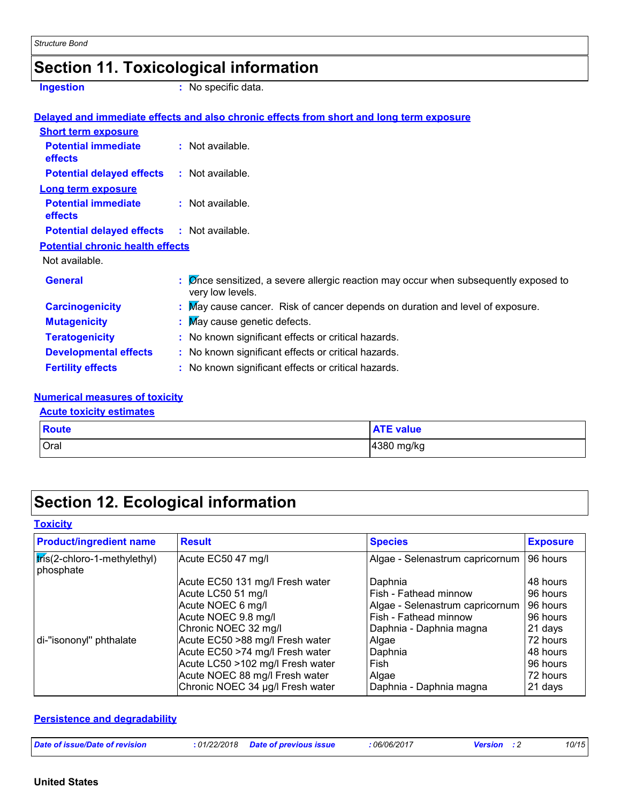### **Section 11. Toxicological information**

**Ingestion** : No specific data.

|                                              | Delayed and immediate effects and also chronic effects from short and long term exposure                                           |
|----------------------------------------------|------------------------------------------------------------------------------------------------------------------------------------|
| <b>Short term exposure</b>                   |                                                                                                                                    |
| <b>Potential immediate</b><br>effects        | $:$ Not available.                                                                                                                 |
| <b>Potential delayed effects</b>             | $:$ Not available.                                                                                                                 |
| <b>Long term exposure</b>                    |                                                                                                                                    |
| <b>Potential immediate</b><br><b>effects</b> | $:$ Not available.                                                                                                                 |
| <b>Potential delayed effects</b>             | : Not available.                                                                                                                   |
| <b>Potential chronic health effects</b>      |                                                                                                                                    |
| Not available.                               |                                                                                                                                    |
| <b>General</b>                               | $\mathcal{D}$ $\mathcal{D}$ Show sensitized, a severe allergic reaction may occur when subsequently exposed to<br>very low levels. |
| <b>Carcinogenicity</b>                       | : May cause cancer. Risk of cancer depends on duration and level of exposure.                                                      |
| <b>Mutagenicity</b>                          | : May cause genetic defects.                                                                                                       |
| <b>Teratogenicity</b>                        | : No known significant effects or critical hazards.                                                                                |
| <b>Developmental effects</b>                 | : No known significant effects or critical hazards.                                                                                |
| <b>Fertility effects</b>                     | : No known significant effects or critical hazards.                                                                                |

#### **Numerical measures of toxicity**

#### **Acute toxicity estimates**

| <b>Route</b> | value                                          |
|--------------|------------------------------------------------|
| Oral         | $\cdot$<br>$\overline{A}$ 380<br>mg/kg<br>שסכּ |

## **Section 12. Ecological information**

#### **Toxicity**

| <b>Product/ingredient name</b>                                 | <b>Result</b>                    | <b>Species</b>                  | <b>Exposure</b> |
|----------------------------------------------------------------|----------------------------------|---------------------------------|-----------------|
| $\frac{1}{2}$ $\frac{1}{2}$ chloro-1-methylethyl)<br>phosphate | Acute EC50 47 mg/l               | Algae - Selenastrum capricornum | 96 hours        |
|                                                                | Acute EC50 131 mg/l Fresh water  | Daphnia                         | 48 hours        |
|                                                                | Acute LC50 51 mg/l               | Fish - Fathead minnow           | 96 hours        |
|                                                                | Acute NOEC 6 mg/l                | Algae - Selenastrum capricornum | 96 hours        |
|                                                                | Acute NOEC 9.8 mg/l              | Fish - Fathead minnow           | 96 hours        |
|                                                                | Chronic NOEC 32 mg/l             | Daphnia - Daphnia magna         | 21 days         |
| di-"isononyl" phthalate                                        | Acute EC50 >88 mg/l Fresh water  | Algae                           | 72 hours        |
|                                                                | Acute EC50 >74 mg/l Fresh water  | Daphnia                         | 48 hours        |
|                                                                | Acute LC50 >102 mg/l Fresh water | Fish                            | 96 hours        |
|                                                                | Acute NOEC 88 mg/l Fresh water   | Algae                           | 72 hours        |
|                                                                | Chronic NOEC 34 µg/l Fresh water | Daphnia - Daphnia magna         | 21 days         |

#### **Persistence and degradability**

| Date of issue/Date of revision | : 01/22/2018 | <b>Date of previous issue</b> | : 06/06/2017 | <b>Version</b> | 10/15 |
|--------------------------------|--------------|-------------------------------|--------------|----------------|-------|
|                                |              |                               |              |                |       |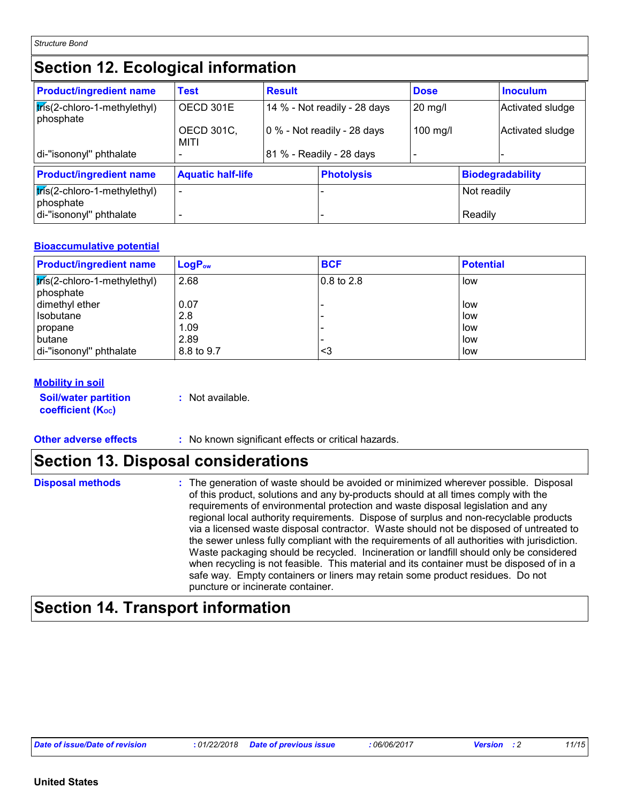*Structure Bond*

# **Section 12. Ecological information**

| <b>Product/ingredient name</b>              | <b>Test</b>               | <b>Result</b>            |                              | <b>Dose</b> |             | <b>Inoculum</b>         |
|---------------------------------------------|---------------------------|--------------------------|------------------------------|-------------|-------------|-------------------------|
| tris(2-chloro-1-methylethyl)<br>phosphate   | OECD 301E                 |                          | 14 % - Not readily - 28 days | $20$ mg/    |             | Activated sludge        |
|                                             | <b>OECD 301C,</b><br>MITI |                          | 0 % - Not readily - 28 days  | 100 mg/l    |             | Activated sludge        |
| di-"isononyl" phthalate                     |                           |                          | 81 % - Readily - 28 days     |             |             |                         |
| <b>Product/ingredient name</b>              |                           | <b>Aquatic half-life</b> |                              |             |             | <b>Biodegradability</b> |
| $tris(2-chloro-1-methylethyl)$<br>phosphate | -                         |                          |                              |             | Not readily |                         |
| di-"isononyl" phthalate                     |                           |                          |                              |             | Readily     |                         |

#### **Bioaccumulative potential**

| <b>Product/ingredient name</b>               | $LogP_{ow}$        | <b>BCF</b>             | <b>Potential</b> |
|----------------------------------------------|--------------------|------------------------|------------------|
| $k$ ris(2-chloro-1-methylethyl)<br>phosphate | 2.68               | $ 0.8 \text{ to } 2.8$ | low              |
| dimethyl ether<br>Isobutane                  | 0.07<br>2.8        |                        | low<br>low       |
| propane                                      | 1.09               |                        | low              |
| <b>butane</b><br>di-"isononyl" phthalate     | 2.89<br>8.8 to 9.7 | <3                     | low<br>low       |

#### **Mobility in soil**

**Soil/water partition coefficient (KOC)**

**:** Not available.

**Other adverse effects** : No known significant effects or critical hazards.

### **Section 13. Disposal considerations**

| <b>Disposal methods</b> | : The generation of waste should be avoided or minimized wherever possible. Disposal<br>of this product, solutions and any by-products should at all times comply with the<br>requirements of environmental protection and waste disposal legislation and any<br>regional local authority requirements. Dispose of surplus and non-recyclable products<br>via a licensed waste disposal contractor. Waste should not be disposed of untreated to<br>the sewer unless fully compliant with the requirements of all authorities with jurisdiction.<br>Waste packaging should be recycled. Incineration or landfill should only be considered<br>when recycling is not feasible. This material and its container must be disposed of in a<br>safe way. Empty containers or liners may retain some product residues. Do not |
|-------------------------|-------------------------------------------------------------------------------------------------------------------------------------------------------------------------------------------------------------------------------------------------------------------------------------------------------------------------------------------------------------------------------------------------------------------------------------------------------------------------------------------------------------------------------------------------------------------------------------------------------------------------------------------------------------------------------------------------------------------------------------------------------------------------------------------------------------------------|
|                         | puncture or incinerate container.                                                                                                                                                                                                                                                                                                                                                                                                                                                                                                                                                                                                                                                                                                                                                                                       |

# **Section 14. Transport information**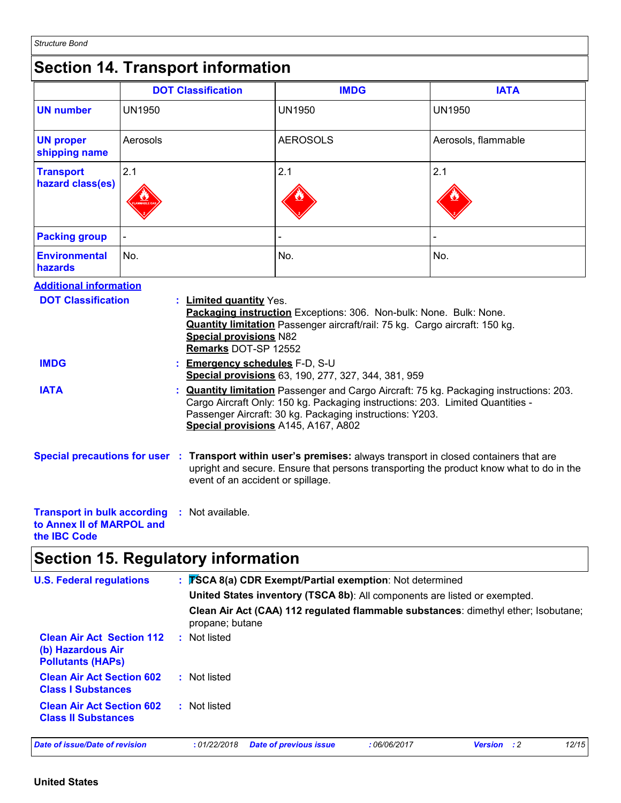### **Section 14. Transport information**

|                                                            | <b>DOT Classification</b>                                                                                          | <b>IMDG</b>                                                                                                                                       | <b>IATA</b>         |
|------------------------------------------------------------|--------------------------------------------------------------------------------------------------------------------|---------------------------------------------------------------------------------------------------------------------------------------------------|---------------------|
| <b>UN number</b>                                           | <b>UN1950</b>                                                                                                      | <b>UN1950</b>                                                                                                                                     | <b>UN1950</b>       |
| <b>UN proper</b><br>shipping name                          | Aerosols                                                                                                           | <b>AEROSOLS</b>                                                                                                                                   | Aerosols, flammable |
| <b>Transport</b><br>hazard class(es)                       | 2.1                                                                                                                | 2.1                                                                                                                                               | 2.1                 |
| <b>Packing group</b>                                       |                                                                                                                    |                                                                                                                                                   |                     |
| <b>Environmental</b><br>hazards                            | No.                                                                                                                | No.                                                                                                                                               | No.                 |
| <b>Additional information</b><br><b>DOT Classification</b> | <b>Limited quantity Yes.</b><br><b>Special provisions N82</b>                                                      | Packaging instruction Exceptions: 306. Non-bulk: None. Bulk: None.<br>Quantity limitation Passenger aircraft/rail: 75 kg. Cargo aircraft: 150 kg. |                     |
| <b>IMDG</b>                                                | Remarks DOT-SP 12552<br><b>Emergency schedules F-D, S-U</b><br>Special provisions 63, 190, 277, 327, 344, 381, 959 |                                                                                                                                                   |                     |
| <b>IATA</b>                                                | <b>Quantity limitation</b> Passenger and Cargo Aircraft: 75 kg. Packaging instructions: 203.                       |                                                                                                                                                   |                     |

Passenger Aircraft: 30 kg. Packaging instructions: Y203. **Special provisions** A145, A167, A802

Cargo Aircraft Only: 150 kg. Packaging instructions: 203. Limited Quantities -

**Special precautions for user Transport within user's premises:** always transport in closed containers that are **:** upright and secure. Ensure that persons transporting the product know what to do in the event of an accident or spillage.

#### **Transport in bulk according :** Not available. **to Annex II of MARPOL and the IBC Code**

### **Section 15. Regulatory information**

| <b>U.S. Federal regulations</b>                                                   | : TSCA 8(a) CDR Exempt/Partial exemption: Not determined<br>United States inventory (TSCA 8b): All components are listed or exempted.<br>Clean Air Act (CAA) 112 regulated flammable substances: dimethyl ether; Isobutane;<br>propane; butane |                    |       |  |  |
|-----------------------------------------------------------------------------------|------------------------------------------------------------------------------------------------------------------------------------------------------------------------------------------------------------------------------------------------|--------------------|-------|--|--|
| <b>Clean Air Act Section 112</b><br>(b) Hazardous Air<br><b>Pollutants (HAPS)</b> | : Not listed                                                                                                                                                                                                                                   |                    |       |  |  |
| <b>Clean Air Act Section 602</b><br><b>Class I Substances</b>                     | : Not listed                                                                                                                                                                                                                                   |                    |       |  |  |
| <b>Clean Air Act Section 602</b><br><b>Class II Substances</b>                    | : Not listed                                                                                                                                                                                                                                   |                    |       |  |  |
| Date of issue/Date of revision                                                    | <b>Date of previous issue</b><br>:06/06/2017<br>:01/22/2018                                                                                                                                                                                    | <b>Version</b> : 2 | 12/15 |  |  |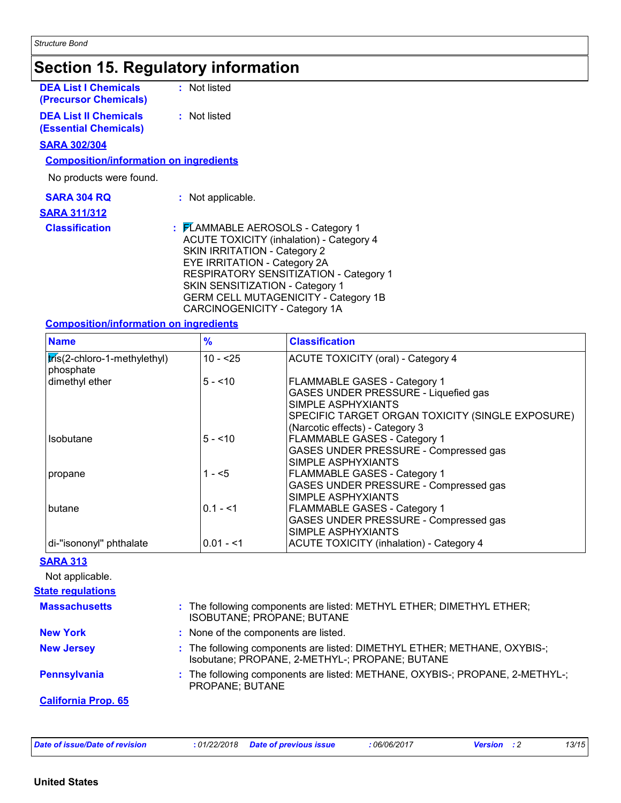### **Section 15. Regulatory information**

| <b>DEA List I Chemicals</b><br><b>(Precursor Chemicals)</b> | : Not listed                                                                                                                                                                                                         |
|-------------------------------------------------------------|----------------------------------------------------------------------------------------------------------------------------------------------------------------------------------------------------------------------|
| <b>DEA List II Chemicals</b><br>(Essential Chemicals)       | : Not listed                                                                                                                                                                                                         |
| <b>SARA 302/304</b>                                         |                                                                                                                                                                                                                      |
| <b>Composition/information on ingredients</b>               |                                                                                                                                                                                                                      |
| No products were found.                                     |                                                                                                                                                                                                                      |
| <b>SARA 304 RQ</b>                                          | : Not applicable.                                                                                                                                                                                                    |
| <b>SARA 311/312</b>                                         |                                                                                                                                                                                                                      |
| <b>Classification</b>                                       | : FLAMMABLE AEROSOLS - Category 1<br><b>ACUTE TOXICITY (inhalation) - Category 4</b><br><b>SKIN IRRITATION - Category 2</b><br><b>EYE IRRITATION - Category 2A</b><br><u> BEABIR (TARV AENAITIZATIAN) – A.L.   4</u> |

#### EYE IRRITATION - Category 2A RESPIRATORY SENSITIZATION - Category 1 SKIN SENSITIZATION - Category 1 GERM CELL MUTAGENICITY - Category 1B CARCINOGENICITY - Category 1A

#### **Composition/information on ingredients**

| <b>Name</b>                               | $\%$       | <b>Classification</b>                                                                              |
|-------------------------------------------|------------|----------------------------------------------------------------------------------------------------|
| tris(2-chloro-1-methylethyl)<br>phosphate | $10 - 25$  | <b>ACUTE TOXICITY (oral) - Category 4</b>                                                          |
| dimethyl ether                            | $5 - 10$   | FLAMMABLE GASES - Category 1<br>GASES UNDER PRESSURE - Liquefied gas<br>SIMPLE ASPHYXIANTS         |
|                                           |            | SPECIFIC TARGET ORGAN TOXICITY (SINGLE EXPOSURE)<br>(Narcotic effects) - Category 3                |
| Isobutane                                 | $5 - 10$   | <b>FLAMMABLE GASES - Category 1</b><br>GASES UNDER PRESSURE - Compressed gas<br>SIMPLE ASPHYXIANTS |
| propane                                   | 1 - <5     | <b>FLAMMABLE GASES - Category 1</b><br>GASES UNDER PRESSURE - Compressed gas<br>SIMPLE ASPHYXIANTS |
| <b>butane</b>                             | $0.1 - 51$ | <b>FLAMMABLE GASES - Category 1</b><br>GASES UNDER PRESSURE - Compressed gas<br>SIMPLE ASPHYXIANTS |
| di-"isononyl" phthalate                   | $0.01 - 1$ | <b>ACUTE TOXICITY (inhalation) - Category 4</b>                                                    |

#### **SARA 313**

Not applicable.

| <b>State regulations</b>   |                                                                                                                            |
|----------------------------|----------------------------------------------------------------------------------------------------------------------------|
| <b>Massachusetts</b>       | : The following components are listed: METHYL ETHER; DIMETHYL ETHER;<br>ISOBUTANE; PROPANE; BUTANE                         |
| <b>New York</b>            | : None of the components are listed.                                                                                       |
| <b>New Jersey</b>          | : The following components are listed: DIMETHYL ETHER; METHANE, OXYBIS-;<br>Isobutane; PROPANE, 2-METHYL-; PROPANE; BUTANE |
| <b>Pennsylvania</b>        | : The following components are listed: METHANE, OXYBIS-; PROPANE, 2-METHYL-;<br>PROPANE; BUTANE                            |
| <b>California Prop. 65</b> |                                                                                                                            |
|                            |                                                                                                                            |
|                            |                                                                                                                            |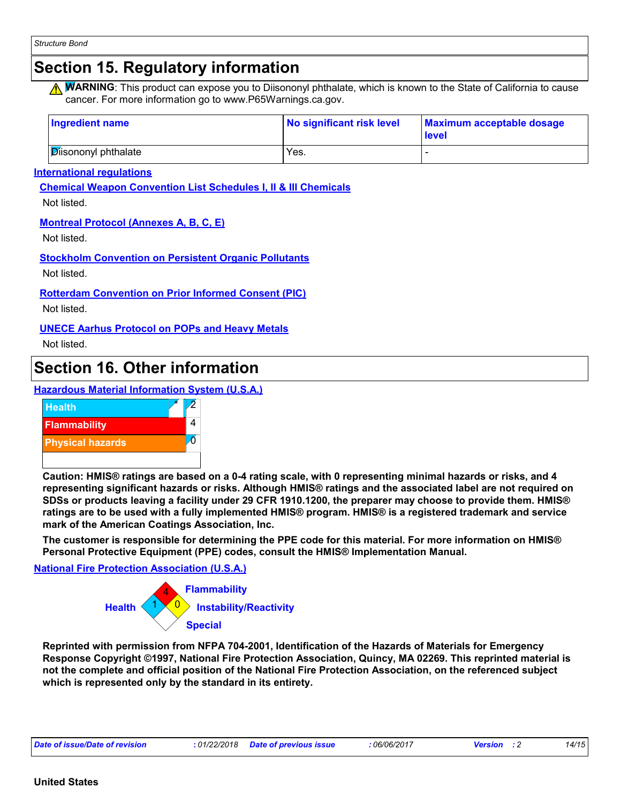## **Section 15. Regulatory information**

**A WARNING**: This product can expose you to Diisononyl phthalate, which is known to the State of California to cause cancer. For more information go to www.P65Warnings.ca.gov.

| <b>Ingredient name</b> | No significant risk level | Maximum acceptable dosage<br><b>Level</b> |
|------------------------|---------------------------|-------------------------------------------|
| Disononyl phthalate    | Yes.                      |                                           |

**International regulations**

**Chemical Weapon Convention List Schedules I, II & III Chemicals**

Not listed.

#### **Montreal Protocol (Annexes A, B, C, E)**

Not listed.

**Stockholm Convention on Persistent Organic Pollutants**

Not listed.

**Rotterdam Convention on Prior Informed Consent (PIC)**

Not listed.

**UNECE Aarhus Protocol on POPs and Heavy Metals**

Not listed.

### **Section 16. Other information**

**Hazardous Material Information System (U.S.A.)**



**Caution: HMIS® ratings are based on a 0-4 rating scale, with 0 representing minimal hazards or risks, and 4 representing significant hazards or risks. Although HMIS® ratings and the associated label are not required on SDSs or products leaving a facility under 29 CFR 1910.1200, the preparer may choose to provide them. HMIS® ratings are to be used with a fully implemented HMIS® program. HMIS® is a registered trademark and service mark of the American Coatings Association, Inc.**

**The customer is responsible for determining the PPE code for this material. For more information on HMIS® Personal Protective Equipment (PPE) codes, consult the HMIS® Implementation Manual.**

**National Fire Protection Association (U.S.A.)**



**Reprinted with permission from NFPA 704-2001, Identification of the Hazards of Materials for Emergency Response Copyright ©1997, National Fire Protection Association, Quincy, MA 02269. This reprinted material is not the complete and official position of the National Fire Protection Association, on the referenced subject which is represented only by the standard in its entirety.**

| Date of issue/Date of revision | 01/22/2018 | ; issue<br>Date of previous<br>the contract of the contract of the contract of the contract of the contract of the contract of the contract of | .06/06/201 <sup>-</sup> | sin | 14/15 |
|--------------------------------|------------|------------------------------------------------------------------------------------------------------------------------------------------------|-------------------------|-----|-------|